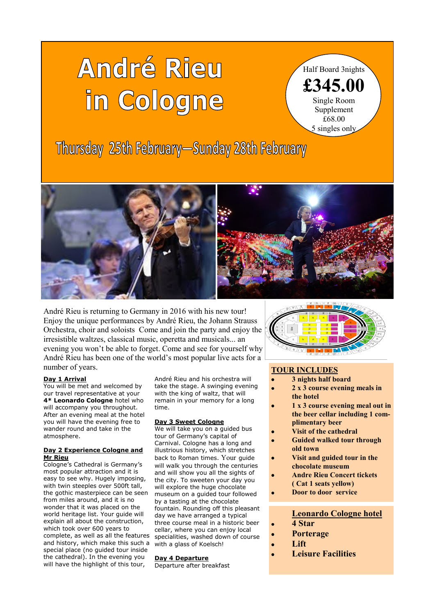# André Rieu in Cologne

Half Board 3nights **£345.00** Single Room Supplement £68.00 5 singles only

Thursday 25th February-Sunday 28th February



André Rieu is returning to Germany in 2016 with his new tour! Enjoy the unique performances by André Rieu, the Johann Strauss Orchestra, choir and soloists Come and join the party and enjoy the irresistible waltzes, classical music, operetta and musicals... an evening you won't be able to forget. Come and see for yourself why André Rieu has been one of the world's most popular live acts for a number of years.

## **Day 1 Arrival**

l<br>I

You will be met and welcomed by our travel representative at your **4\* Leonardo Cologne** hotel who will accompany you throughout. After an evening meal at the hotel you will have the evening free to wander round and take in the atmosphere.

### **Day 2 Experience Cologne and Mr Rieu**

Cologne's Cathedral is Germany's most popular attraction and it is easy to see why. Hugely imposing, with twin steeples over 500ft tall, the gothic masterpiece can be seen from miles around, and it is no wonder that it was placed on the world heritage list. Your guide will explain all about the construction, which took over 600 years to complete, as well as all the features and history, which make this such a special place (no guided tour inside the cathedral). In the evening you will have the highlight of this tour,

André Rieu and his orchestra will take the stage. A swinging evening with the king of waltz, that will remain in your memory for a long time.

#### **Day 3 Sweet Cologne**

We will take you on a quided bus tour of Germany's capital of Carnival. Cologne has a long and illustrious history, which stretches back to Roman times. Your guide will walk you through the centuries and will show you all the sights of the city. To sweeten your day you will explore the huge chocolate museum on a guided tour followed by a tasting at the chocolate fountain. Rounding off this pleasant day we have arranged a typical three course meal in a historic beer cellar, where you can enjoy local specialities, washed down of course with a glass of Koelsch!

## **Day 4 Departure**

Departure after breakfast



# **TOUR INCLUDES**

- **3 nights half board**
- **2 x 3 course evening meals in the hotel**
- **1 x 3 course evening meal out in the beer cellar including 1 complimentary beer**
- **Visit of the cathedral**
- **Guided walked tour through old town**
- **Visit and guided tour in the chocolate museum**
- **Andre Rieu Concert tickets ( Cat 1 seats yellow)**
- **Door to door service**

# **Leonardo Cologne hotel**

- **4 Star**
- **Porterage**
- **Lift**
- **Leisure Facilities**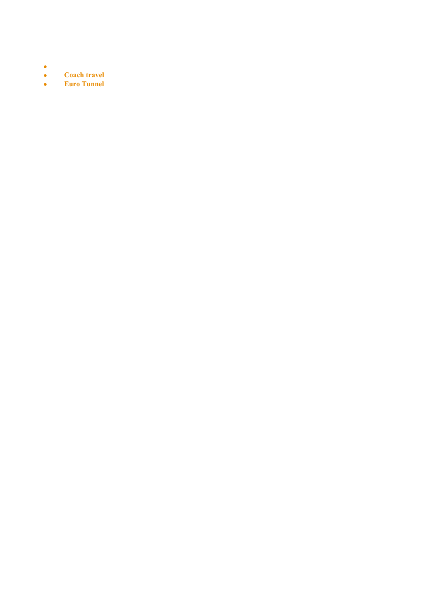- $\bullet$
- $\bullet$ **Coach travel**
- $\bullet$ **Euro Tunnel**